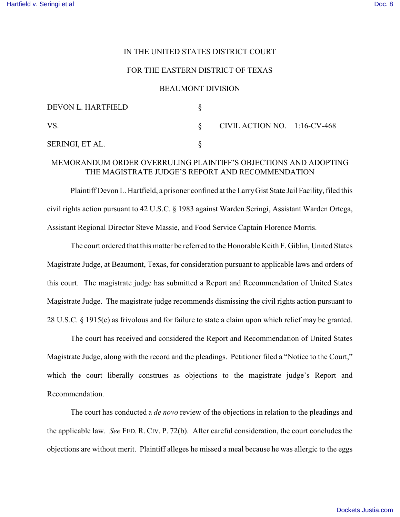## IN THE UNITED STATES DISTRICT COURT

### FOR THE EASTERN DISTRICT OF TEXAS

#### BEAUMONT DIVISION

| DEVON L. HARTFIELD |                                 |  |
|--------------------|---------------------------------|--|
| VS.                | CIVIL ACTION NO. $1:16$ -CV-468 |  |
| SERINGI, ET AL.    |                                 |  |

# MEMORANDUM ORDER OVERRULING PLAINTIFF'S OBJECTIONS AND ADOPTING THE MAGISTRATE JUDGE'S REPORT AND RECOMMENDATION

Plaintiff Devon L. Hartfield, a prisoner confined at the LarryGist State Jail Facility, filed this civil rights action pursuant to 42 U.S.C. § 1983 against Warden Seringi, Assistant Warden Ortega, Assistant Regional Director Steve Massie, and Food Service Captain Florence Morris.

The court ordered that this matter be referred to the Honorable Keith F. Giblin, United States Magistrate Judge, at Beaumont, Texas, for consideration pursuant to applicable laws and orders of this court. The magistrate judge has submitted a Report and Recommendation of United States Magistrate Judge. The magistrate judge recommends dismissing the civil rights action pursuant to 28 U.S.C. § 1915(e) as frivolous and for failure to state a claim upon which relief may be granted.

The court has received and considered the Report and Recommendation of United States Magistrate Judge, along with the record and the pleadings. Petitioner filed a "Notice to the Court," which the court liberally construes as objections to the magistrate judge's Report and Recommendation.

The court has conducted a *de novo* review of the objections in relation to the pleadings and the applicable law. *See* FED. R. CIV. P. 72(b). After careful consideration, the court concludes the objections are without merit. Plaintiff alleges he missed a meal because he was allergic to the eggs